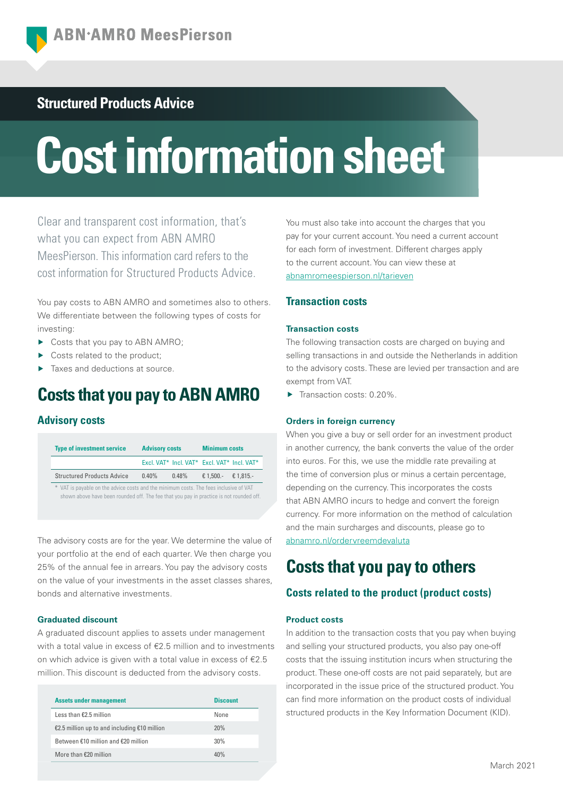## **Structured Products Advice**

# **Cost information sheet**

Clear and transparent cost information, that's what you can expect from ABN AMRO MeesPierson. This information card refers to the cost information for Structured Products Advice.

You pay costs to ABN AMRO and sometimes also to others. We differentiate between the following types of costs for investing:

- ▶ Costs that you pay to ABN AMRO;
- ▶ Costs related to the product:
- ▶ Taxes and deductions at source.

# **Costs that you pay to ABN AMRO**

## **Advisory costs**

| <b>Type of investment service</b>                                                                                                                                                |          | <b>Advisory costs</b> |                                             | <b>Minimum costs</b> |  |
|----------------------------------------------------------------------------------------------------------------------------------------------------------------------------------|----------|-----------------------|---------------------------------------------|----------------------|--|
|                                                                                                                                                                                  |          |                       | Excl. VAT* Incl. VAT* Excl. VAT* Incl. VAT* |                      |  |
| <b>Structured Products Advice</b>                                                                                                                                                | $0.40\%$ | $0.48\%$              | € 1.500.-                                   | $\epsilon$ 1.815.-   |  |
| * VAT is payable on the advice costs and the minimum costs. The fees inclusive of VAT<br>shown above have been rounded off. The fee that you pay in practice is not rounded off. |          |                       |                                             |                      |  |

The advisory costs are for the year. We determine the value of your portfolio at the end of each quarter. We then charge you 25% of the annual fee in arrears. You pay the advisory costs on the value of your investments in the asset classes shares, bonds and alternative investments.

## **Graduated discount**

A graduated discount applies to assets under management with a total value in excess of €2.5 million and to investments on which advice is given with a total value in excess of €2.5 million. This discount is deducted from the advisory costs.

| <b>Assets under management</b>                 | <b>Discount</b> |
|------------------------------------------------|-----------------|
| Less than $£2$ 5 million                       | None            |
| €2.5 million up to and including $€10$ million | 20%             |
| Between $f10$ million and $f20$ million        | 30%             |
| More than $£20$ million                        | 40%             |

You must also take into account the charges that you pay for your current account. You need a current account for each form of investment. Different charges apply to the current account. You can view these at [abnamromeespierson.nl/tarieven](https://www.abnamro.nl/en/privatebanking/payments/pricing.html)

## **Transaction costs**

## **Transaction costs**

The following transaction costs are charged on buying and selling transactions in and outside the Netherlands in addition to the advisory costs. These are levied per transaction and are exempt from VAT.

Transaction costs: 0.20%

## **Orders in foreign currency**

When you give a buy or sell order for an investment product in another currency, the bank converts the value of the order into euros. For this, we use the middle rate prevailing at the time of conversion plus or minus a certain percentage, depending on the currency. This incorporates the costs that ABN AMRO incurs to hedge and convert the foreign currency. For more information on the method of calculation and the main surcharges and discounts, please go to [abnamro.nl/ordervreemdevaluta](https://www.abnamro.nl/nl/prive/beleggen/service/beleggingsorders/voorbeeld.html)

# **Costs that you pay to others**

## **Costs related to the product (product costs)**

## **Product costs**

In addition to the transaction costs that you pay when buying and selling your structured products, you also pay one-off costs that the issuing institution incurs when structuring the product. These one-off costs are not paid separately, but are incorporated in the issue price of the structured product. You can find more information on the product costs of individual structured products in the Key Information Document (KID).